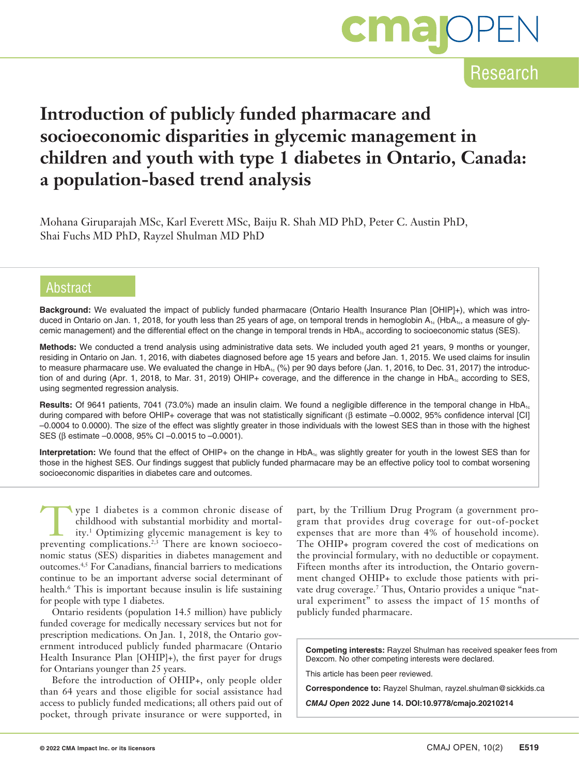

Research

# **Introduction of publicly funded pharmacare and socioeconomic disparities in glycemic management in children and youth with type 1 diabetes in Ontario, Canada: a population-based trend analysis**

Mohana Giruparajah MSc, Karl Everett MSc, Baiju R. Shah MD PhD, Peter C. Austin PhD, Shai Fuchs MD PhD, Rayzel Shulman MD PhD

# Abstract

**Background:** We evaluated the impact of publicly funded pharmacare (Ontario Health Insurance Plan [OHIP]+), which was introduced in Ontario on Jan. 1, 2018, for youth less than 25 years of age, on temporal trends in hemoglobin  $A_{1c}$  (HbA<sub>1c</sub>, a measure of glycemic management) and the differential effect on the change in temporal trends in HbA<sub>1c</sub> according to socioeconomic status (SES).

**Methods:** We conducted a trend analysis using administrative data sets. We included youth aged 21 years, 9 months or younger, residing in Ontario on Jan. 1, 2016, with diabetes diagnosed before age 15 years and before Jan. 1, 2015. We used claims for insulin to measure pharmacare use. We evaluated the change in  $HbA_{1c}$  (%) per 90 days before (Jan. 1, 2016, to Dec. 31, 2017) the introduction of and during (Apr. 1, 2018, to Mar. 31, 2019) OHIP+ coverage, and the difference in the change in HbA<sub>1c</sub> according to SES, using segmented regression analysis.

**Results:** Of 9641 patients, 7041 (73.0%) made an insulin claim. We found a negligible difference in the temporal change in HbA<sub>1c</sub> during compared with before OHIP+ coverage that was not statistically significant (β estimate –0.0002, 95% confidence interval [CI] –0.0004 to 0.0000). The size of the effect was slightly greater in those individuals with the lowest SES than in those with the highest SES (β estimate –0.0008, 95% CI –0.0015 to –0.0001).

**Interpretation:** We found that the effect of OHIP+ on the change in HbA<sub>1c</sub> was slightly greater for youth in the lowest SES than for those in the highest SES. Our findings suggest that publicly funded pharmacare may be an effective policy tool to combat worsening socioeconomic disparities in diabetes care and outcomes.

Type 1 diabetes is a common chronic disease of childhood with substantial morbidity and mortal-<br>ity.<sup>1</sup> Optimizing glycemic management is key to<br>preventing complications<sup>23</sup> There are known socioeco. childhood with substantial morbidity and mortalpreventing complications.2,3 There are known socioeconomic status (SES) disparities in diabetes management and outcomes.4,5 For Canadians, financial barriers to medications continue to be an important adverse social determinant of health.<sup>6</sup> This is important because insulin is life sustaining for people with type 1 diabetes.

Ontario residents (population 14.5 million) have publicly funded coverage for medically necessary services but not for prescription medications. On Jan. 1, 2018, the Ontario government introduced publicly funded pharmacare (Ontario Health Insurance Plan [OHIP]+), the first payer for drugs for Ontarians younger than 25 years.

Before the introduction of OHIP+, only people older than 64 years and those eligible for social assistance had access to publicly funded medications; all others paid out of pocket, through private insurance or were supported, in

part, by the Trillium Drug Program (a government program that provides drug coverage for out-of-pocket expenses that are more than 4% of household income). The OHIP+ program covered the cost of medications on the provincial formulary, with no deductible or copayment. Fifteen months after its introduction, the Ontario government changed OHIP+ to exclude those patients with private drug coverage.7 Thus, Ontario provides a unique "natural experiment" to assess the impact of 15 months of publicly funded pharmacare.

**Competing interests:** Rayzel Shulman has received speaker fees from Dexcom. No other competing interests were declared.

This article has been peer reviewed.

**Correspondence to:** Rayzel Shulman, rayzel.shulman@sickkids.ca

*CMAJ Open* **2022 June 14. DOI:10.9778/cmajo.20210214**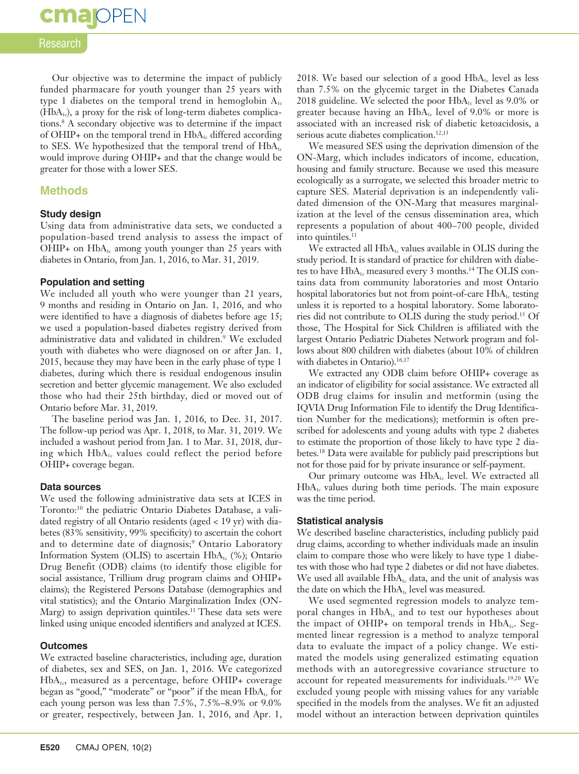# Research

**cma** OPEN

Our objective was to determine the impact of publicly funded pharmacare for youth younger than 25 years with type 1 diabetes on the temporal trend in hemoglobin  $A_{1c}$  $(HbA<sub>1c</sub>)$ , a proxy for the risk of long-term diabetes complications.8 A secondary objective was to determine if the impact of OHIP+ on the temporal trend in  $HbA_{1c}$  differed according to SES. We hypothesized that the temporal trend of  $HbA_{1c}$ would improve during OHIP+ and that the change would be greater for those with a lower SES.

# **Methods**

### **Study design**

Using data from administrative data sets, we conducted a population-based trend analysis to assess the impact of OHIP+ on  $HbA_{1c}$  among youth younger than 25 years with diabetes in Ontario, from Jan. 1, 2016, to Mar. 31, 2019.

### **Population and setting**

We included all youth who were younger than 21 years, 9 months and residing in Ontario on Jan. 1, 2016, and who were identified to have a diagnosis of diabetes before age 15; we used a population-based diabetes registry derived from administrative data and validated in children.<sup>9</sup> We excluded youth with diabetes who were diagnosed on or after Jan. 1, 2015, because they may have been in the early phase of type 1 diabetes, during which there is residual endogenous insulin secretion and better glycemic management. We also excluded those who had their 25th birthday, died or moved out of Ontario before Mar. 31, 2019.

The baseline period was Jan. 1, 2016, to Dec. 31, 2017. The follow-up period was Apr. 1, 2018, to Mar. 31, 2019. We included a washout period from Jan. 1 to Mar. 31, 2018, during which  $HbA_{1c}$  values could reflect the period before OHIP+ coverage began.

#### **Data sources**

We used the following administrative data sets at ICES in Toronto:10 the pediatric Ontario Diabetes Database, a validated registry of all Ontario residents (aged < 19 yr) with diabetes (83% sensitivity, 99% specificity) to ascertain the cohort and to determine date of diagnosis;<sup>9</sup> Ontario Laboratory Information System (OLIS) to ascertain  $HbA_1$ <sub>c</sub> (%); Ontario Drug Benefit (ODB) claims (to identify those eligible for social assistance, Trillium drug program claims and OHIP+ claims); the Registered Persons Database (demographics and vital statistics); and the Ontario Marginalization Index (ON-Marg) to assign deprivation quintiles.<sup>11</sup> These data sets were linked using unique encoded identifiers and analyzed at ICES.

#### **Outcomes**

We extracted baseline characteristics, including age, duration of diabetes, sex and SES, on Jan. 1, 2016. We categorized HbA<sub>1c</sub>, measured as a percentage, before OHIP+ coverage began as "good," "moderate" or "poor" if the mean HbA<sub>1c</sub> for each young person was less than 7.5%, 7.5%–8.9% or 9.0% or greater, respectively, between Jan. 1, 2016, and Apr. 1,

2018. We based our selection of a good  $HbA<sub>1c</sub>$  level as less than 7.5% on the glycemic target in the Diabetes Canada 2018 guideline. We selected the poor  $HbA_{1c}$  level as 9.0% or greater because having an HbA<sub>1c</sub> level of 9.0% or more is associated with an increased risk of diabetic ketoacidosis, a serious acute diabetes complication.<sup>12,13</sup>

We measured SES using the deprivation dimension of the ON-Marg, which includes indicators of income, education, housing and family structure. Because we used this measure ecologically as a surrogate, we selected this broader metric to capture SES. Material deprivation is an independently validated dimension of the ON-Marg that measures marginalization at the level of the census dissemination area, which represents a population of about 400–700 people, divided into quintiles.<sup>11</sup>

We extracted all  $HbA_{1c}$  values available in OLIS during the study period. It is standard of practice for children with diabetes to have HbA<sub>1c</sub> measured every 3 months.<sup>14</sup> The OLIS contains data from community laboratories and most Ontario hospital laboratories but not from point-of-care  $HbA<sub>1c</sub>$  testing unless it is reported to a hospital laboratory. Some laboratories did not contribute to OLIS during the study period.15 Of those, The Hospital for Sick Children is affiliated with the largest Ontario Pediatric Diabetes Network program and follows about 800 children with diabetes (about 10% of children with diabetes in Ontario).<sup>16,17</sup>

We extracted any ODB claim before OHIP+ coverage as an indicator of eligibility for social assistance. We extracted all ODB drug claims for insulin and metformin (using the IQVIA Drug Information File to identify the Drug Identification Number for the medications); metformin is often prescribed for adolescents and young adults with type 2 diabetes to estimate the proportion of those likely to have type 2 diabetes.18 Data were available for publicly paid prescriptions but not for those paid for by private insurance or self-payment.

Our primary outcome was HbA<sub>1c</sub> level. We extracted all  $HbA<sub>1c</sub>$  values during both time periods. The main exposure was the time period.

#### **Statistical analysis**

We described baseline characteristics, including publicly paid drug claims, according to whether individuals made an insulin claim to compare those who were likely to have type 1 diabetes with those who had type 2 diabetes or did not have diabetes. We used all available  $HbA_{1c}$  data, and the unit of analysis was the date on which the HbA<sub>1c</sub> level was measured.

We used segmented regression models to analyze temporal changes in  $HbA_{1c}$  and to test our hypotheses about the impact of OHIP+ on temporal trends in  $HbA_{1c}$ . Segmented linear regression is a method to analyze temporal data to evaluate the impact of a policy change. We estimated the models using generalized estimating equation methods with an autoregressive covariance structure to account for repeated measurements for individuals.19,20 We excluded young people with missing values for any variable specified in the models from the analyses. We fit an adjusted model without an interaction between deprivation quintiles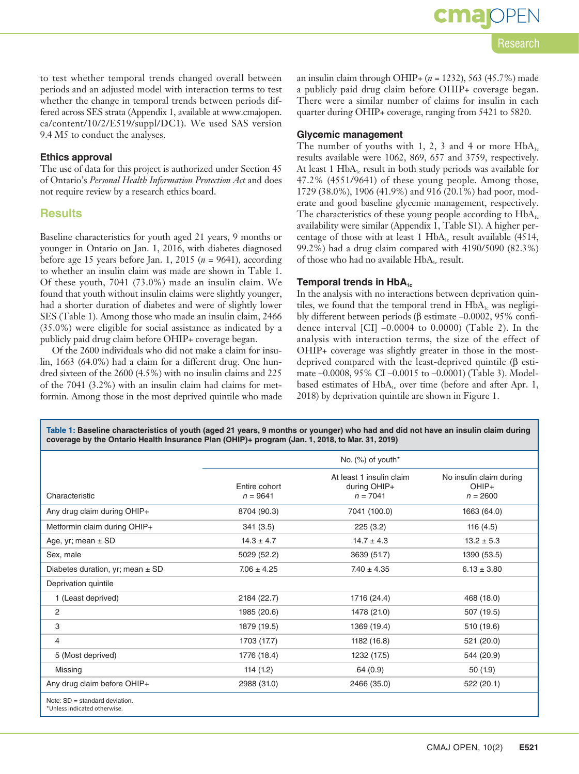to test whether temporal trends changed overall between periods and an adjusted model with interaction terms to test whether the change in temporal trends between periods differed across SES strata (Appendix 1, available at www.cmajopen. ca/content/10/2/E519/suppl/DC1). We used SAS version

### **Ethics approval**

9.4 M5 to conduct the analyses.

The use of data for this project is authorized under Section 45 of Ontario's *Personal Health Information Protection Act* and does not require review by a research ethics board.

# **Results**

Baseline characteristics for youth aged 21 years, 9 months or younger in Ontario on Jan. 1, 2016, with diabetes diagnosed before age 15 years before Jan. 1, 2015 (*n* = 9641), according to whether an insulin claim was made are shown in Table 1. Of these youth, 7041 (73.0%) made an insulin claim. We found that youth without insulin claims were slightly younger, had a shorter duration of diabetes and were of slightly lower SES (Table 1). Among those who made an insulin claim, 2466 (35.0%) were eligible for social assistance as indicated by a publicly paid drug claim before OHIP+ coverage began.

Of the 2600 individuals who did not make a claim for insulin, 1663 (64.0%) had a claim for a different drug. One hundred sixteen of the 2600 (4.5%) with no insulin claims and 225 of the 7041 (3.2%) with an insulin claim had claims for metformin. Among those in the most deprived quintile who made an insulin claim through OHIP+ (*n* = 1232), 563 (45.7%) made a publicly paid drug claim before OHIP+ coverage began. There were a similar number of claims for insulin in each quarter during OHIP+ coverage, ranging from 5421 to 5820.

# **Glycemic management**

The number of youths with 1, 2, 3 and 4 or more  $HbA_{1c}$ results available were 1062, 869, 657 and 3759, respectively. At least 1  $HbA_{1c}$  result in both study periods was available for 47.2% (4551/9641) of these young people. Among those, 1729 (38.0%), 1906 (41.9%) and 916 (20.1%) had poor, moderate and good baseline glycemic management, respectively. The characteristics of these young people according to  $HbA<sub>1c</sub>$ availability were similar (Appendix 1, Table S1). A higher percentage of those with at least 1  $HbA_i$  result available (4514, 99.2%) had a drug claim compared with 4190/5090 (82.3%) of those who had no available  $HbA_{1c}$  result.

## **Temporal trends in HbA<sub>1c</sub>**

In the analysis with no interactions between deprivation quintiles, we found that the temporal trend in  $HbA_{1c}$  was negligibly different between periods (β estimate –0.0002, 95% confidence interval  $\text{[CI]}$  –0.0004 to 0.0000) (Table 2). In the analysis with interaction terms, the size of the effect of OHIP+ coverage was slightly greater in those in the mostdeprived compared with the least-deprived quintile (β estimate –0.0008, 95% CI –0.0015 to –0.0001) (Table 3). Modelbased estimates of  $HbA_{1c}$  over time (before and after Apr. 1, 2018) by deprivation quintile are shown in Figure 1.

**Table 1: Baseline characteristics of youth (aged 21 years, 9 months or younger) who had and did not have an insulin claim during coverage by the Ontario Health Insurance Plan (OHIP)+ program (Jan. 1, 2018, to Mar. 31, 2019)**

|                                                                   | No. (%) of youth*           |                                                        |                                                  |
|-------------------------------------------------------------------|-----------------------------|--------------------------------------------------------|--------------------------------------------------|
| Characteristic                                                    | Entire cohort<br>$n = 9641$ | At least 1 insulin claim<br>during OHIP+<br>$n = 7041$ | No insulin claim during<br>$OHIP+$<br>$n = 2600$ |
| Any drug claim during OHIP+                                       | 8704 (90.3)                 | 7041 (100.0)                                           | 1663 (64.0)                                      |
| Metformin claim during OHIP+                                      | 341(3.5)                    | 225(3.2)                                               | 116(4.5)                                         |
| Age, yr; mean $\pm$ SD                                            | $14.3 \pm 4.7$              | $14.7 \pm 4.3$                                         | $13.2 \pm 5.3$                                   |
| Sex, male                                                         | 5029 (52.2)                 | 3639 (51.7)                                            | 1390 (53.5)                                      |
| Diabetes duration, yr; mean $\pm$ SD                              | $7.06 \pm 4.25$             | $7.40 \pm 4.35$                                        | $6.13 \pm 3.80$                                  |
| Deprivation quintile                                              |                             |                                                        |                                                  |
| 1 (Least deprived)                                                | 2184 (22.7)                 | 1716 (24.4)                                            | 468 (18.0)                                       |
| 2                                                                 | 1985 (20.6)                 | 1478 (21.0)                                            | 507 (19.5)                                       |
| 3                                                                 | 1879 (19.5)                 | 1369 (19.4)                                            | 510 (19.6)                                       |
| 4                                                                 | 1703 (17.7)                 | 1182 (16.8)                                            | 521 (20.0)                                       |
| 5 (Most deprived)                                                 | 1776 (18.4)                 | 1232 (17.5)                                            | 544 (20.9)                                       |
| Missing                                                           | 114(1.2)                    | 64 (0.9)                                               | 50 (1.9)                                         |
| Any drug claim before OHIP+                                       | 2988 (31.0)                 | 2466 (35.0)                                            | 522 (20.1)                                       |
| Note: $SD = standard deviation$ .<br>*Unless indicated otherwise. |                             |                                                        |                                                  |

# cma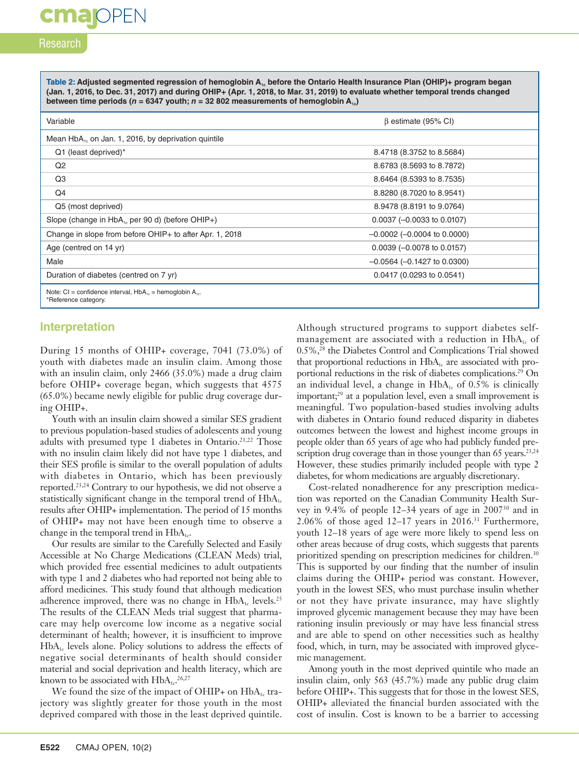# Research

**cma** OPEN

Table 2: Adjusted segmented regression of hemoglobin A<sub>1c</sub> before the Ontario Health Insurance Plan (OHIP)+ program began **(Jan. 1, 2016, to Dec. 31, 2017) and during OHIP+ (Apr. 1, 2018, to Mar. 31, 2019) to evaluate whether temporal trends changed between time periods (** $n = 6347$  **youth;**  $n = 32802$  **measurements of hemoglobin A<sub>1c</sub>)** 

| Variable                                                                                   | $\beta$ estimate (95% CI)        |  |
|--------------------------------------------------------------------------------------------|----------------------------------|--|
| Mean HbA <sub>1</sub> , on Jan. 1, 2016, by deprivation quintile                           |                                  |  |
| Q1 (least deprived)*                                                                       | 8.4718 (8.3752 to 8.5684)        |  |
| Q2                                                                                         | 8.6783 (8.5693 to 8.7872)        |  |
| Q3                                                                                         | 8.6464 (8.5393 to 8.7535)        |  |
| Q4                                                                                         | 8.8280 (8.7020 to 8.9541)        |  |
| Q5 (most deprived)                                                                         | 8.9478 (8.8191 to 9.0764)        |  |
| Slope (change in HbA <sub>1c</sub> per 90 d) (before OHIP+)                                | $0.0037 (-0.0033$ to $0.0107)$   |  |
| Change in slope from before OHIP+ to after Apr. 1, 2018                                    | $-0.0002$ ( $-0.0004$ to 0.0000) |  |
| Age (centred on 14 yr)                                                                     | $0.0039$ (-0.0078 to 0.0157)     |  |
| Male                                                                                       | $-0.0564$ ( $-0.1427$ to 0.0300) |  |
| Duration of diabetes (centred on 7 yr)                                                     | 0.0417(0.0293 to 0.0541)         |  |
| Note: CI = confidence interval, $HbA_{1c}$ = hemoglobin $A_{1c}$ .<br>*Reference category. |                                  |  |

## **Interpretation**

During 15 months of OHIP+ coverage, 7041 (73.0%) of youth with diabetes made an insulin claim. Among those with an insulin claim, only 2466 (35.0%) made a drug claim before OHIP+ coverage began, which suggests that 4575 (65.0%) became newly eligible for public drug coverage during OHIP+.

Youth with an insulin claim showed a similar SES gradient to previous population-based studies of adolescents and young adults with presumed type 1 diabetes in Ontario.<sup>21,22</sup> Those with no insulin claim likely did not have type 1 diabetes, and their SES profile is similar to the overall population of adults with diabetes in Ontario, which has been previously reported.23,24 Contrary to our hypothesis, we did not observe a statistically significant change in the temporal trend of  $HbA<sub>1c</sub>$ results after OHIP+ implementation. The period of 15 months of OHIP+ may not have been enough time to observe a change in the temporal trend in  $HbA_{1c}$ .

Our results are similar to the Carefully Selected and Easily Accessible at No Charge Medications (CLEAN Meds) trial, which provided free essential medicines to adult outpatients with type 1 and 2 diabetes who had reported not being able to afford medicines. This study found that although medication adherence improved, there was no change in HbA<sub>1c</sub> levels.<sup>25</sup> The results of the CLEAN Meds trial suggest that pharmacare may help overcome low income as a negative social determinant of health; however, it is insufficient to improve  $HbA<sub>1c</sub>$  levels alone. Policy solutions to address the effects of negative social determinants of health should consider material and social deprivation and health literacy, which are known to be associated with  $HbA_{1c}.^{26,27}$ 

We found the size of the impact of OHIP+ on  $HbA_{1c}$  trajectory was slightly greater for those youth in the most deprived compared with those in the least deprived quintile. Although structured programs to support diabetes selfmanagement are associated with a reduction in  $HbA_{1c}$  of 0.5%,28 the Diabetes Control and Complications Trial showed that proportional reductions in  $HbA_{1c}$  are associated with proportional reductions in the risk of diabetes complications.29 On an individual level, a change in  $HbA_{1c}$  of 0.5% is clinically important;<sup>29</sup> at a population level, even a small improvement is meaningful. Two population-based studies involving adults with diabetes in Ontario found reduced disparity in diabetes outcomes between the lowest and highest income groups in people older than 65 years of age who had publicly funded prescription drug coverage than in those younger than  $65$  years.<sup>23,24</sup> However, these studies primarily included people with type 2 diabetes, for whom medications are arguably discretionary.

Cost-related nonadherence for any prescription medication was reported on the Canadian Community Health Survey in 9.4% of people 12–34 years of age in 200730 and in  $2.06\%$  of those aged 12-17 years in 2016.<sup>31</sup> Furthermore, youth 12–18 years of age were more likely to spend less on other areas because of drug costs, which suggests that parents prioritized spending on prescription medicines for children.<sup>30</sup> This is supported by our finding that the number of insulin claims during the OHIP+ period was constant. However, youth in the lowest SES, who must purchase insulin whether or not they have private insurance, may have slightly improved glycemic management because they may have been rationing insulin previously or may have less financial stress and are able to spend on other necessities such as healthy food, which, in turn, may be associated with improved glycemic management.

Among youth in the most deprived quintile who made an insulin claim, only 563 (45.7%) made any public drug claim before OHIP+. This suggests that for those in the lowest SES, OHIP+ alleviated the financial burden associated with the cost of insulin. Cost is known to be a barrier to accessing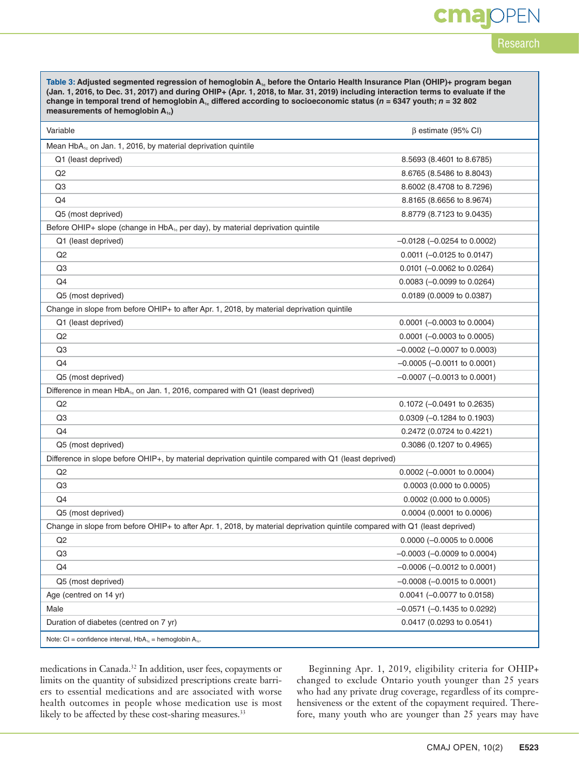# cma

# Research

Table 3: Adjusted segmented regression of hemoglobin A<sub>1c</sub> before the Ontario Health Insurance Plan (OHIP)+ program began **(Jan. 1, 2016, to Dec. 31, 2017) and during OHIP+ (Apr. 1, 2018, to Mar. 31, 2019) including interaction terms to evaluate if the**  change in temporal trend of hemoglobin  $A_1$ , differed according to socioeconomic status ( $n = 6347$  youth;  $n = 32802$ measurements of hemoglobin A<sub>1c</sub>)

| Variable                                                                                                                    | $\beta$ estimate (95% CI)           |  |  |
|-----------------------------------------------------------------------------------------------------------------------------|-------------------------------------|--|--|
| Mean HbA <sub>1c</sub> on Jan. 1, 2016, by material deprivation quintile                                                    |                                     |  |  |
| Q1 (least deprived)                                                                                                         | 8.5693 (8.4601 to 8.6785)           |  |  |
| Q <sub>2</sub>                                                                                                              | 8.6765 (8.5486 to 8.8043)           |  |  |
| Q3                                                                                                                          | 8.6002 (8.4708 to 8.7296)           |  |  |
| Q4                                                                                                                          | 8.8165 (8.6656 to 8.9674)           |  |  |
| Q5 (most deprived)                                                                                                          | 8.8779 (8.7123 to 9.0435)           |  |  |
| Before OHIP+ slope (change in HbA <sub>1c</sub> per day), by material deprivation quintile                                  |                                     |  |  |
| Q1 (least deprived)                                                                                                         | $-0.0128$ ( $-0.0254$ to 0.0002)    |  |  |
| Q <sub>2</sub>                                                                                                              | $0.0011$ (-0.0125 to 0.0147)        |  |  |
| Q <sub>3</sub>                                                                                                              | $0.0101$ (-0.0062 to 0.0264)        |  |  |
| Q4                                                                                                                          | $0.0083 (-0.0099$ to $0.0264)$      |  |  |
| Q5 (most deprived)                                                                                                          | 0.0189 (0.0009 to 0.0387)           |  |  |
| Change in slope from before OHIP+ to after Apr. 1, 2018, by material deprivation quintile                                   |                                     |  |  |
| Q1 (least deprived)                                                                                                         | $0.0001$ (-0.0003 to 0.0004)        |  |  |
| Q <sub>2</sub>                                                                                                              | $0.0001$ (-0.0003 to 0.0005)        |  |  |
| Q3                                                                                                                          | $-0.0002$ ( $-0.0007$ to 0.0003)    |  |  |
| Q4                                                                                                                          | $-0.0005$ ( $-0.0011$ to 0.0001)    |  |  |
| Q5 (most deprived)                                                                                                          | $-0.0007$ ( $-0.0013$ to 0.0001)    |  |  |
| Difference in mean HbA <sub>1s</sub> on Jan. 1, 2016, compared with Q1 (least deprived)                                     |                                     |  |  |
| Q2                                                                                                                          | 0.1072 (-0.0491 to 0.2635)          |  |  |
| Q3                                                                                                                          | $0.0309$ (-0.1284 to 0.1903)        |  |  |
| Q4                                                                                                                          | 0.2472 (0.0724 to 0.4221)           |  |  |
| Q5 (most deprived)                                                                                                          | 0.3086 (0.1207 to 0.4965)           |  |  |
| Difference in slope before OHIP+, by material deprivation quintile compared with Q1 (least deprived)                        |                                     |  |  |
| Q2                                                                                                                          | $0.0002$ (-0.0001 to 0.0004)        |  |  |
| Q3                                                                                                                          | $0.0003$ (0.000 to 0.0005)          |  |  |
| Q4                                                                                                                          | $0.0002$ (0.000 to 0.0005)          |  |  |
| Q5 (most deprived)                                                                                                          | 0.0004 (0.0001 to 0.0006)           |  |  |
| Change in slope from before OHIP+ to after Apr. 1, 2018, by material deprivation quintile compared with Q1 (least deprived) |                                     |  |  |
| Q2                                                                                                                          | 0.0000 (-0.0005 to 0.0006           |  |  |
| Q <sub>3</sub>                                                                                                              | $-0.0003$ ( $-0.0009$ to 0.0004)    |  |  |
| Q4                                                                                                                          | $-0.0006$ ( $-0.0012$ to 0.0001)    |  |  |
| Q5 (most deprived)                                                                                                          | $-0.0008$ ( $-0.0015$ to 0.0001)    |  |  |
| Age (centred on 14 yr)                                                                                                      | $0.0041$ (-0.0077 to 0.0158)        |  |  |
| Male                                                                                                                        | $-0.0571$ ( $-0.1435$ to 0.0292)    |  |  |
| Duration of diabetes (centred on 7 yr)                                                                                      | $0.0417(0.0293 \text{ to } 0.0541)$ |  |  |
| Note: CI = confidence interval, $HbA_{1c}$ = hemoglobin $A_{1c}$ .                                                          |                                     |  |  |

medications in Canada.32 In addition, user fees, copayments or limits on the quantity of subsidized prescriptions create barriers to essential medications and are associated with worse health outcomes in people whose medication use is most likely to be affected by these cost-sharing measures.<sup>33</sup>

Beginning Apr. 1, 2019, eligibility criteria for OHIP+ changed to exclude Ontario youth younger than 25 years who had any private drug coverage, regardless of its comprehensiveness or the extent of the copayment required. Therefore, many youth who are younger than 25 years may have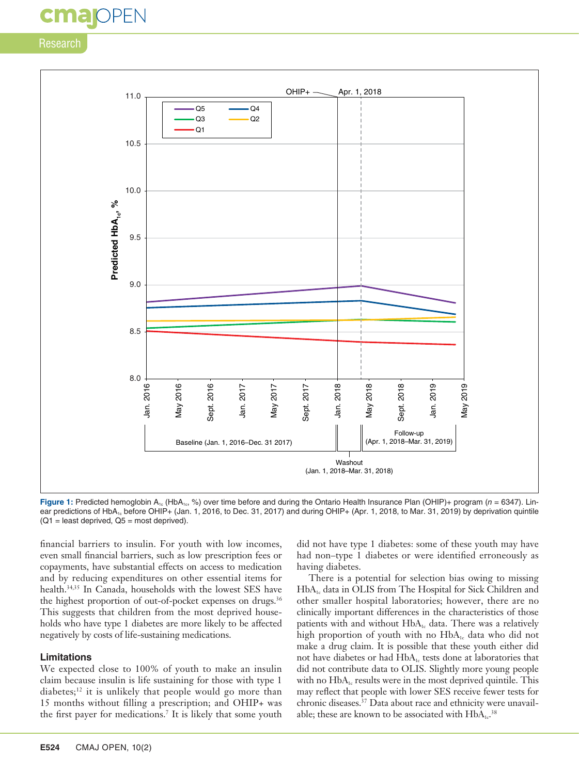# **cmajoPEN**

# Research



**Figure 1:** Predicted hemoglobin A<sub>1c</sub> (HbA<sub>1c</sub>, %) over time before and during the Ontario Health Insurance Plan (OHIP)+ program (*n* = 6347). Linear predictions of HbA<sub>1c</sub> before OHIP+ (Jan. 1, 2016, to Dec. 31, 2017) and during OHIP+ (Apr. 1, 2018, to Mar. 31, 2019) by deprivation quintile  $(Q1 =$  least deprived,  $Q5 =$  most deprived).

financial barriers to insulin. For youth with low incomes, even small financial barriers, such as low prescription fees or copayments, have substantial effects on access to medication and by reducing expenditures on other essential items for health.34,35 In Canada, households with the lowest SES have the highest proportion of out-of-pocket expenses on drugs.<sup>36</sup> This suggests that children from the most deprived households who have type 1 diabetes are more likely to be affected negatively by costs of life-sustaining medications.

## **Limitations**

We expected close to 100% of youth to make an insulin claim because insulin is life sustaining for those with type 1 diabetes; $12$  it is unlikely that people would go more than 15 months without filling a prescription; and OHIP+ was the first payer for medications.7 It is likely that some youth did not have type 1 diabetes: some of these youth may have had non–type 1 diabetes or were identified erroneously as having diabetes.

There is a potential for selection bias owing to missing HbA1c data in OLIS from The Hospital for Sick Children and other smaller hospital laboratories; however, there are no clinically important differences in the characteristics of those patients with and without  $HbA_{1c}$  data. There was a relatively high proportion of youth with no  $HbA_{1c}$  data who did not make a drug claim. It is possible that these youth either did not have diabetes or had  $HbA<sub>1c</sub>$  tests done at laboratories that did not contribute data to OLIS. Slightly more young people with no HbA<sub>1c</sub> results were in the most deprived quintile. This may reflect that people with lower SES receive fewer tests for chronic diseases.<sup>37</sup> Data about race and ethnicity were unavailable; these are known to be associated with  $HbA_{1c}.$ <sup>38</sup>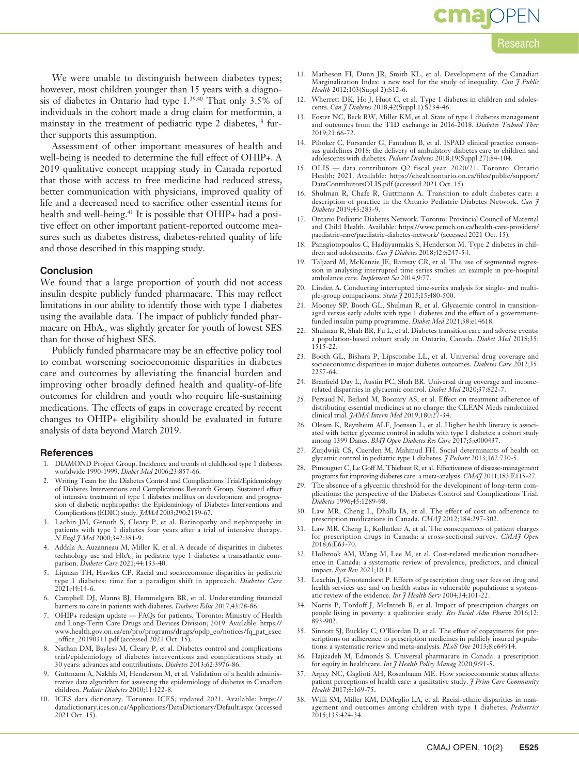# **cmajOPEN**

# Research

We were unable to distinguish between diabetes types; however, most children younger than 15 years with a diagnosis of diabetes in Ontario had type 1.39,40 That only 3.5% of individuals in the cohort made a drug claim for metformin, a mainstay in the treatment of pediatric type 2 diabetes,<sup>18</sup> further supports this assumption.

Assessment of other important measures of health and well-being is needed to determine the full effect of OHIP+. A 2019 qualitative concept mapping study in Canada reported that those with access to free medicine had reduced stress, better communication with physicians, improved quality of life and a decreased need to sacrifice other essential items for health and well-being.<sup>41</sup> It is possible that OHIP+ had a positive effect on other important patient-reported outcome measures such as diabetes distress, diabetes-related quality of life and those described in this mapping study.

#### **Conclusion**

We found that a large proportion of youth did not access insulin despite publicly funded pharmacare. This may reflect limitations in our ability to identify those with type 1 diabetes using the available data. The impact of publicly funded pharmacare on HbA<sub>1c</sub> was slightly greater for youth of lowest SES than for those of highest SES.

Publicly funded pharmacare may be an effective policy tool to combat worsening socioeconomic disparities in diabetes care and outcomes by alleviating the financial burden and improving other broadly defined health and quality-of-life outcomes for children and youth who require life-sustaining medications. The effects of gaps in coverage created by recent changes to OHIP+ eligibility should be evaluated in future analysis of data beyond March 2019.

#### **References**

- 1. DIAMOND Project Group. Incidence and trends of childhood type 1 diabetes worldwide 1990-1999. *Diabet Med* 2006;23:857-66.
- 2. Writing Team for the Diabetes Control and Complications Trial/Epidemiology of Diabetes Interventions and Complications Research Group. Sustained effect of intensive treatment of type 1 diabetes mellitus on development and progression of diabetic nephropathy: the Epidemiology of Diabetes Interventions and Complications (EDIC) study. *JAMA* 2003;290:2159-67.
- 3. Lachin JM, Genuth S, Cleary P, et al. Retinopathy and nephropathy in patients with type 1 diabetes four years after a trial of intensive therapy. *N Engl J Med* 2000;342:381-9.
- 4. Addala A, Auzanneau M, Miller K, et al. A decade of disparities in diabetes technology use and HbA<sub>1c</sub> in pediatric type 1 diabetes: a transatlantic comparison. *Diabetes Care* 2021;44:133-40.
- 5. Lipman TH, Hawkes CP. Racial and socioeconomic disparities in pediatric type 1 diabetes: time for a paradigm shift in approach. *Diabetes Care* 2021;44:14-6.
- 6. Campbell DJ, Manns BJ, Hemmelgarn BR, et al. Understanding financial barriers to care in patients with diabetes. *Diabetes Educ* 2017;43:78-86.
- 7. OHIP+ redesign update FAQs for patients. Toronto: Ministry of Health and Long-Term Care Drugs and Devices Division; 2019. Available: https:// www.health.gov.on.ca/en/pro/programs/drugs/opdp\_eo/notices/fq\_pat\_exec \_office\_20190311.pdf (accessed 2021 Oct. 15).
- Nathan DM, Bayless M, Cleary P, et al. Diabetes control and complications trial/epidemiology of diabetes interventions and complications study at 30 years: advances and contributions. *Diabetes* 2013;62:3976-86.
- 9. Guttmann A, Nakhla M, Henderson M, et al. Validation of a health administrative data algorithm for assessing the epidemiology of diabetes in Canadian children. *Pediatr Diabetes* 2010;11:122-8.
- 10. ICES data dictionary. Toronto: ICES; updated 2021. Available: https:// datadictionary.ices.on.ca/Applications/DataDictionary/Default.aspx (accessed 2021 Oct. 15).
- 11. Matheson FI, Dunn JR, Smith KL, et al. Development of the Canadian Marginalization Index: a new tool for the study of inequality. *Can J Public Health* 2012;103(Suppl 2):S12-6.
- 12. Wherrett DK, Ho J, Huot C, et al. Type 1 diabetes in children and adolescents. *Can J Diabetes* 2018;42(Suppl 1):S234-46.
- 13. Foster NC, Beck RW, Miller KM, et al. State of type 1 diabetes management and outcomes from the T1D exchange in 2016-2018. *Diabetes Technol Ther* 2019;21:66-72.
- 14. Pihoker C, Forsander G, Fantahun B, et al. ISPAD clinical practice consensus guidelines 2018: the delivery of ambulatory diabetes care to children and adolescents with diabetes. *Pediatr Diabetes* 2018;19(Suppl 27):84-104.
- 15. OLIS data contributors Q2 fiscal year: 2020/21. Toronto: Ontario Health; 2021. Available: https://ehealthontario.on.ca/files/public/support/ DataContributorsOLIS.pdf (accessed 2021 Oct. 15).
- 16. Shulman R, Chafe R, Guttmann A. Transition to adult diabetes care: a description of practice in the Ontario Pediatric Diabetes Network. *Can J Diabetes* 2019;43:283-9.
- 17. Ontario Pediatric Diabetes Network. Toronto: Provincial Council of Maternal and Child Health. Available: https://www.pcmch.on.ca/health-care-providers/ paediatric-care/paediatric-diabetes-network/ (accessed 2021 Oct. 15).
- 18. Panagiotopoulos C, Hadjiyannakis S, Henderson M. Type 2 diabetes in children and adolescents. *Can J Diabetes* 2018;42:S247-54.
- 19. Taljaard M, McKenzie JE, Ramsay CR, et al. The use of segmented regression in analysing interrupted time series studies: an example in pre-hospital ambulance care. *Implement Sci* 2014;9:77.
- 20. Linden A. Conducting interrupted time-series analysis for single- and multiple-group comparisons. *Stata J* 2015;15:480-500.
- 21. Mooney SP, Booth GL, Shulman R, et al. Glycaemic control in transitionaged versus early adults with type 1 diabetes and the effect of a governmentfunded insulin pump programme. *Diabet Med* 2021;38:e14618.
- 22. Shulman R, Shah BR, Fu L, et al. Diabetes transition care and adverse events: a population-based cohort study in Ontario, Canada. *Diabet Med* 2018;35: 1515-22.
- 23. Booth GL, Bishara P, Lipscombe LL, et al. Universal drug coverage and socioeconomic disparities in major diabetes outcomes. *Diabetes Care* 2012;35: 2257-64.
- 24. Branfield Day L, Austin PC, Shah BR. Universal drug coverage and incomerelated disparities in glycaemic control. *Diabet Med* 2020;37:822-7.
- 25. Persaud N, Bedard M, Boozary AS, et al. Effect on treatment adherence of distributing essential medicines at no charge: the CLEAN Meds randomized clinical trial. *JAMA Intern Med* 2019;180:27-34.
- 26. Olesen K, Reynheim ALF, Joensen L, et al. Higher health literacy is associated with better glycemic control in adults with type 1 diabetes: a cohort study among 1399 Danes. *BMJ Open Diabetes Res Care* 2017;5:e000437.
- 27. Zuijdwijk CS, Cuerden M, Mahmud FH. Social determinants of health on glycemic control in pediatric type 1 diabetes. *J Pediatr* 2013;162:730-5.
- 28. Pimouguet C, Le Goff M, Thiebaut R, et al. Effectiveness of disease-management programs for improving diabetes care: a meta-analysis. *CMAJ* 2011;183:E115-27.
- 29. The absence of a glycemic threshold for the development of long-term complications: the perspective of the Diabetes Control and Complications Trial. *Diabetes* 1996;45:1289-98.
- 30. Law MR, Cheng L, Dhalla IA, et al. The effect of cost on adherence to prescription medications in Canada. *CMAJ* 2012;184:297-302.
- 31. Law MR, Cheng L, Kolhatkar A, et al. The consequences of patient charges for prescription drugs in Canada: a cross-sectional survey. *CMAJ Open* 2018;6:E63-70.
- 32. Holbrook AM, Wang M, Lee M, et al. Cost-related medication nonadherence in Canada: a systematic review of prevalence, predictors, and clinical impact. *Syst Rev* 2021;10:11.
- 33. Lexchin J, Grootendorst P. Effects of prescription drug user fees on drug and health services use and on health status in vulnerable populations: a systematic review of the evidence. *Int J Health Serv* 2004;34:101-22.
- 34. Norris P, Tordoff J, McIntosh B, et al. Impact of prescription charges on people living in poverty: a qualitative study. *Res Social Adm Pharm* 2016;12: 893-902.
- 35. Sinnott SJ, Buckley C, O'Riordan D, et al. The effect of copayments for prescriptions on adherence to prescription medicines in publicly insured populations: a systematic review and meta-analysis. *PLoS One* 2013;8:e64914.
- 36. Hajizadeh M, Edmonds S. Universal pharmacare in Canada: a prescription for equity in healthcare. *Int J Health Policy Manag* 2020;9:91-5.
- 37. Arpey NC, Gaglioti AH, Rosenbaum ME. How socioeconomic status affects patient perceptions of health care: a qualitative study. *J Prim Care Community Health* 2017;8:169-75.
- 38. Willi SM, Miller KM, DiMeglio LA, et al. Racial-ethnic disparities in management and outcomes among children with type 1 diabetes. *Pediatrics* 2015;135:424-34.